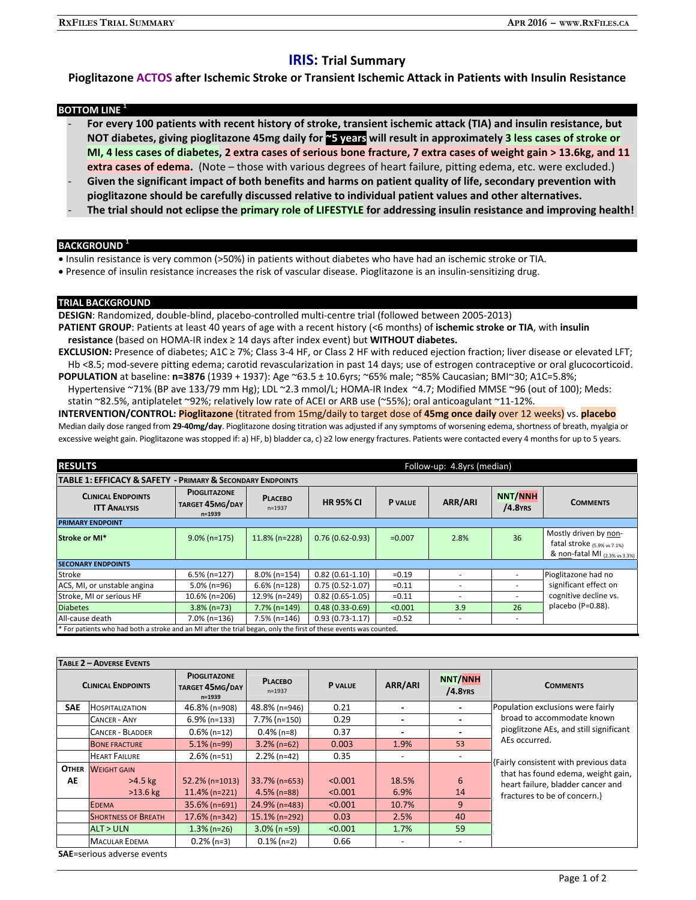# **IRIS: Trial Summary**

## **Pioglitazone ACTOS after Ischemic Stroke or Transient Ischemic Attack in Patients with Insulin Resistance**

## **BOTTOM LINE<sup>1</sup>**

- **For every 100 patients with recent history of stroke, transient ischemic attack (TIA) and insulin resistance, but NOT diabetes, giving pioglitazone 45mg daily for ~5 years will result in approximately 3 less cases of stroke or MI, 4 less cases of diabetes, 2 extra cases of serious bone fracture, 7 extra cases of weight gain > 13.6kg, and 11 extra cases of edema.** (Note – those with various degrees of heart failure, pitting edema, etc. were excluded.)

- Given the significant impact of both benefits and harms on patient quality of life, secondary prevention with **pioglitazone should be carefully discussed relative to individual patient values and other alternatives.**
- **The trial should not eclipse the primary role of LIFESTYLE for addressing insulin resistance and improving health!**

## **BACKGROUND**

- Insulin resistance is very common (>50%) in patients without diabetes who have had an ischemic stroke or TIA.
- Presence of insulin resistance increases the risk of vascular disease. Pioglitazone is an insulin-sensitizing drug.

## **TRIAL BACKGROUND**

**DESIGN**: Randomized, double-blind, placebo-controlled multi-centre trial (followed between 2005-2013)

- **PATIENT GROUP**: Patients at least 40 years of age with a recent history (<6 months) of **ischemic stroke or TIA**, with **insulin resistance** (based on HOMA-IR index ≥ 14 days after index event) but **WITHOUT diabetes.**
- **EXCLUSION:** Presence of diabetes; A1C ≥ 7%; Class 3-4 HF, or Class 2 HF with reduced ejection fraction; liver disease or elevated LFT; Hb <8.5; mod-severe pitting edema; carotid revascularization in past 14 days; use of estrogen contraceptive or oral glucocorticoid.
- **POPULATION** at baseline: **n=3876** (1939 + 1937): Age ~63.5 ± 10.6yrs; ~65% male; ~85% Caucasian; BMI~30; A1C=5.8%; Hypertensive ~71% (BP ave 133/79 mm Hg); LDL ~2.3 mmol/L; HOMA-IR Index ~4.7; Modified MMSE ~96 (out of 100); Meds: statin ~82.5%, antiplatelet ~92%; relatively low rate of ACEI or ARB use (~55%); oral anticoagulant ~11-12%.

**INTERVENTION/CONTROL: Pioglitazone** (titrated from 15mg/daily to target dose of **45mg once daily** over 12 weeks) vs. **placebo**  Median daily dose ranged from **29-40mg/day**. Pioglitazone dosing titration was adjusted if any symptoms of worsening edema, shortness of breath, myalgia or excessive weight gain. Pioglitazone was stopped if: a) HF, b) bladder ca, c) ≥2 low energy fractures. Patients were contacted every 4 months for up to 5 years.

| <b>RESULTS</b>                                                                                                    |                                                      |                              |                     | Follow-up: 4.8yrs (median) |                          |                              |                                                                                                    |  |  |  |  |
|-------------------------------------------------------------------------------------------------------------------|------------------------------------------------------|------------------------------|---------------------|----------------------------|--------------------------|------------------------------|----------------------------------------------------------------------------------------------------|--|--|--|--|
| TABLE 1: EFFICACY & SAFETY - PRIMARY & SECONDARY ENDPOINTS                                                        |                                                      |                              |                     |                            |                          |                              |                                                                                                    |  |  |  |  |
| <b>CLINICAL ENDPOINTS</b><br><b>ITT ANALYSIS</b>                                                                  | <b>PIOGLITAZONE</b><br>TARGET 45MG/DAY<br>$n = 1939$ | <b>PLACEBO</b><br>$n = 1937$ | <b>HR 95% CI</b>    | <b>P</b> VALUE             | ARR/ARI                  | <b>NNT/NNH</b><br>$/4.8$ YRS | <b>COMMENTS</b>                                                                                    |  |  |  |  |
| <b>PRIMARY ENDPOINT</b>                                                                                           |                                                      |                              |                     |                            |                          |                              |                                                                                                    |  |  |  |  |
| Stroke or MI*                                                                                                     | $9.0\%$ (n=175)                                      | $11.8\%$ (n=228)             | $0.76(0.62 - 0.93)$ | $=0.007$                   | 2.8%                     | 36                           | Mostly driven by non-<br>fatal stroke $(5.9\% \text{ vs } 7.1\%)$<br>& non-fatal MI (2.3% vs 3.3%) |  |  |  |  |
| <b>SECONARY ENDPOINTS</b>                                                                                         |                                                      |                              |                     |                            |                          |                              |                                                                                                    |  |  |  |  |
| Stroke                                                                                                            | $6.5\%$ (n=127)                                      | $8.0\%$ (n=154)              | $0.82(0.61 - 1.10)$ | $=0.19$                    |                          |                              | Pioglitazone had no                                                                                |  |  |  |  |
| ACS, MI, or unstable angina                                                                                       | $5.0\%$ (n=96)                                       | $6.6\%$ (n=128)              | $0.75(0.52 - 1.07)$ | $=0.11$                    |                          | ۰                            | significant effect on                                                                              |  |  |  |  |
| Stroke, MI or serious HF                                                                                          | 10.6% (n=206)                                        | 12.9% (n=249)                | $0.82(0.65-1.05)$   | $=0.11$                    | $\overline{\phantom{a}}$ | ٠                            | cognitive decline vs.                                                                              |  |  |  |  |
| <b>Diabetes</b>                                                                                                   | $3.8\%$ (n=73)                                       | $7.7\%$ (n=149)              | $0.48(0.33 - 0.69)$ | < 0.001                    | 3.9                      | 26                           | placebo (P=0.88).                                                                                  |  |  |  |  |
| All-cause death                                                                                                   | $7.0\%$ (n=136)                                      | $7.5\%$ (n=146)              | $0.93(0.73-1.17)$   | $=0.52$                    | $\overline{\phantom{a}}$ | $\overline{\phantom{a}}$     |                                                                                                    |  |  |  |  |
| * For patients who had both a stroke and an MI after the trial began, only the first of these events was counted. |                                                      |                              |                     |                            |                          |                              |                                                                                                    |  |  |  |  |

| TABLE 2 - ADVERSE EVENTS |                                               |                                                      |                                    |                    |                          |                              |                                                                                                                                                 |  |  |  |  |
|--------------------------|-----------------------------------------------|------------------------------------------------------|------------------------------------|--------------------|--------------------------|------------------------------|-------------------------------------------------------------------------------------------------------------------------------------------------|--|--|--|--|
|                          | <b>CLINICAL ENDPOINTS</b>                     | <b>PIOGLITAZONE</b><br>TARGET 45MG/DAY<br>$n = 1939$ | <b>PLACEBO</b><br>$n = 1937$       | <b>P</b> VALUE     | ARR/ARI                  | <b>NNT/NNH</b><br>$/4.8$ YRS | <b>COMMENTS</b>                                                                                                                                 |  |  |  |  |
| <b>SAE</b>               | <b>HOSPITALIZATION</b>                        | 46.8% (n=908)                                        | 48.8% (n=946)                      | 0.21               |                          |                              | Population exclusions were fairly                                                                                                               |  |  |  |  |
|                          | <b>CANCER - ANY</b>                           | $6.9\%$ (n=133)                                      | 7.7% (n=150)                       | 0.29               | $\overline{\phantom{a}}$ |                              | broad to accommodate known                                                                                                                      |  |  |  |  |
|                          | <b>CANCER - BLADDER</b>                       | $0.6\%$ (n=12)                                       | $0.4\%$ (n=8)                      | 0.37               |                          |                              | pioglitzone AEs, and still significant                                                                                                          |  |  |  |  |
|                          | <b>BONE FRACTURE</b>                          | $5.1\%$ (n=99)                                       | $3.2\%$ (n=62)                     | 0.003              | 1.9%                     | 53                           | AEs occurred.                                                                                                                                   |  |  |  |  |
|                          | <b>HEART FAILURE</b>                          | $2.6\%$ (n=51)                                       | $2.2%$ (n=42)                      | 0.35               |                          |                              |                                                                                                                                                 |  |  |  |  |
| <b>OTHER</b><br>AE       | <b>WEIGHT GAIN</b><br>$>4.5$ kg<br>$>13.6$ kg | $52.2\%$ (n=1013)<br>$11.4\%$ (n=221)                | $33.7\%$ (n=653)<br>$4.5\%$ (n=88) | < 0.001<br>< 0.001 | 18.5%<br>6.9%            | 6<br>14                      | Fairly consistent with previous data<br>that has found edema, weight gain,<br>heart failure, bladder cancer and<br>fractures to be of concern.} |  |  |  |  |
|                          | <b>EDEMA</b>                                  | 35.6% (n=691)                                        | 24.9% (n=483)                      | < 0.001            | 10.7%                    | 9                            |                                                                                                                                                 |  |  |  |  |
|                          | <b>SHORTNESS OF BREATH</b>                    | $17.6\%$ (n=342)                                     | $15.1\%$ (n=292)                   | 0.03               | 2.5%                     | 40                           |                                                                                                                                                 |  |  |  |  |
|                          | <b>ALT &gt; ULN</b>                           | $1.3\%$ (n=26)                                       | $3.0\%$ (n =59)                    | < 0.001            | 1.7%                     | 59                           |                                                                                                                                                 |  |  |  |  |
|                          | <b>MACULAR EDEMA</b>                          | $0.2\%$ (n=3)                                        | $0.1\%$ (n=2)                      | 0.66               |                          | $\overline{\phantom{a}}$     |                                                                                                                                                 |  |  |  |  |

**SAE**=serious adverse events